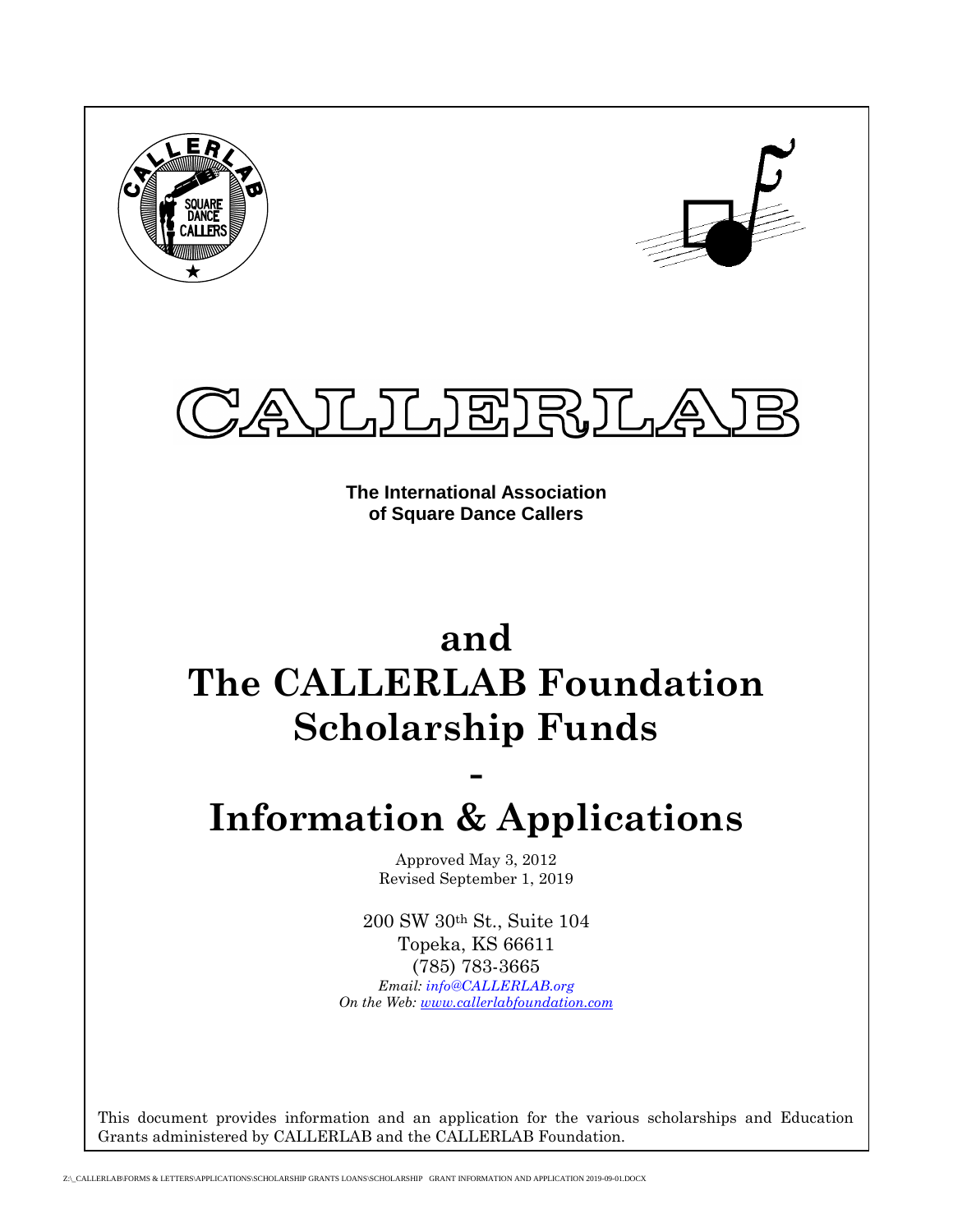





**The International Association of Square Dance Callers**

## **and The CALLERLAB Foundation Scholarship Funds**

# **Information & Applications**

**-**

Approved May 3, 2012 Revised September 1, 2019

200 SW 30th St., Suite 104 Topeka, KS 66611 (785) 783-3665 *Email: [info@CALLERLAB.org](mailto:CALLERLAB@aol.com) On the Web: [www.callerlabfoundation.com](http://www.callerlabfoundation.com/)*

This document provides information and an application for the various scholarships and Education Grants administered by CALLERLAB and the CALLERLAB Foundation.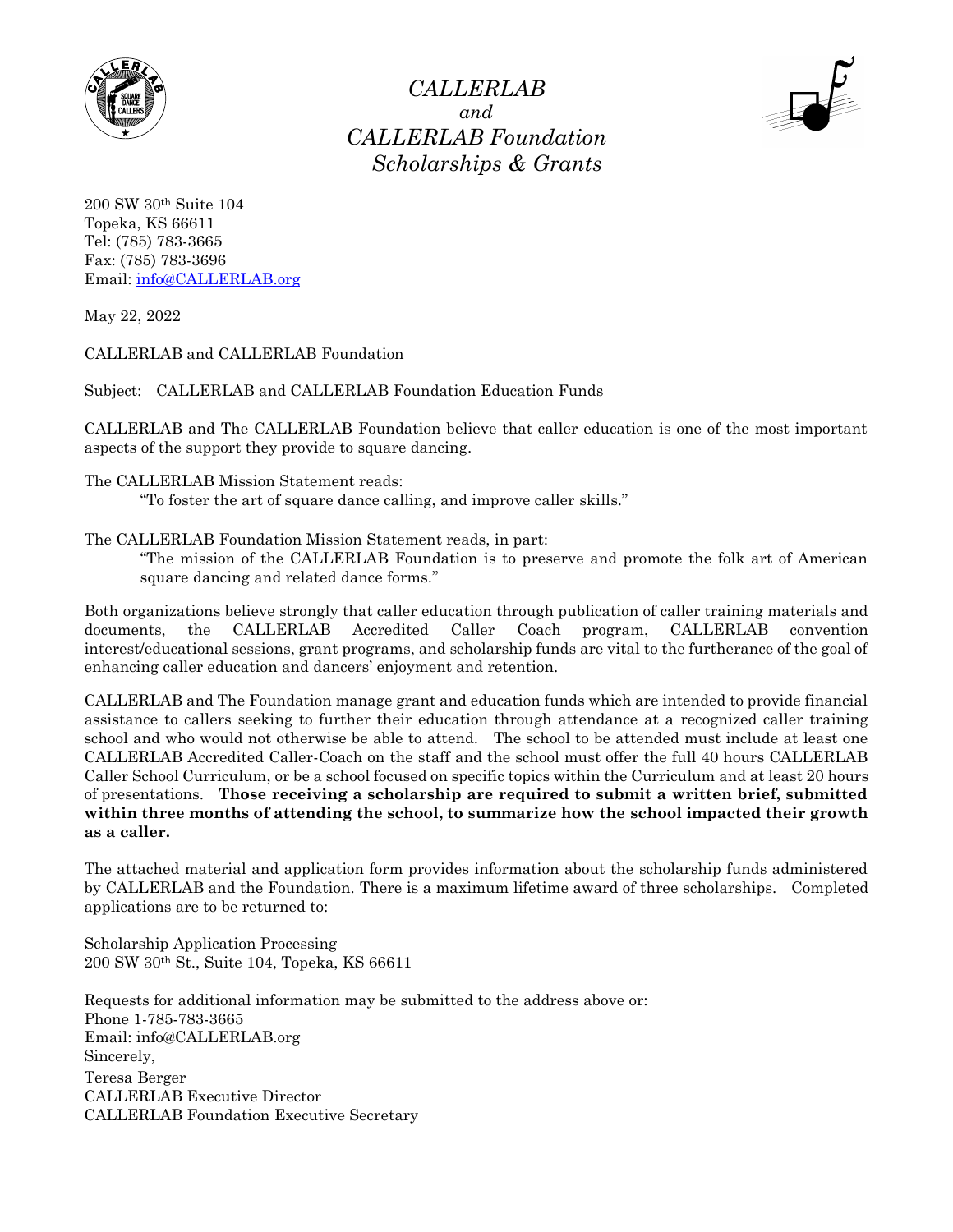

*CALLERLAB and CALLERLAB Foundation Scholarships & Grants*



200 SW 30th Suite 104 Topeka, KS 66611 Tel: (785) 783-3665 Fax: (785) 783-3696 Email: [info@CALLERLAB.org](mailto:CALLERLAB@aol.com)

May 22, 2022

CALLERLAB and CALLERLAB Foundation

Subject: CALLERLAB and CALLERLAB Foundation Education Funds

CALLERLAB and The CALLERLAB Foundation believe that caller education is one of the most important aspects of the support they provide to square dancing.

The CALLERLAB Mission Statement reads:

"To foster the art of square dance calling, and improve caller skills."

The CALLERLAB Foundation Mission Statement reads, in part:

"The mission of the CALLERLAB Foundation is to preserve and promote the folk art of American square dancing and related dance forms."

Both organizations believe strongly that caller education through publication of caller training materials and documents, the CALLERLAB Accredited Caller Coach program, CALLERLAB convention interest/educational sessions, grant programs, and scholarship funds are vital to the furtherance of the goal of enhancing caller education and dancers' enjoyment and retention.

CALLERLAB and The Foundation manage grant and education funds which are intended to provide financial assistance to callers seeking to further their education through attendance at a recognized caller training school and who would not otherwise be able to attend. The school to be attended must include at least one CALLERLAB Accredited Caller-Coach on the staff and the school must offer the full 40 hours CALLERLAB Caller School Curriculum, or be a school focused on specific topics within the Curriculum and at least 20 hours of presentations. **Those receiving a scholarship are required to submit a written brief, submitted within three months of attending the school, to summarize how the school impacted their growth as a caller.**

The attached material and application form provides information about the scholarship funds administered by CALLERLAB and the Foundation. There is a maximum lifetime award of three scholarships. Completed applications are to be returned to:

Scholarship Application Processing 200 SW 30th St., Suite 104, Topeka, KS 66611

Requests for additional information may be submitted to the address above or: Phone 1-785-783-3665 Email: info@CALLERLAB.org Sincerely, Teresa Berger CALLERLAB Executive Director CALLERLAB Foundation Executive Secretary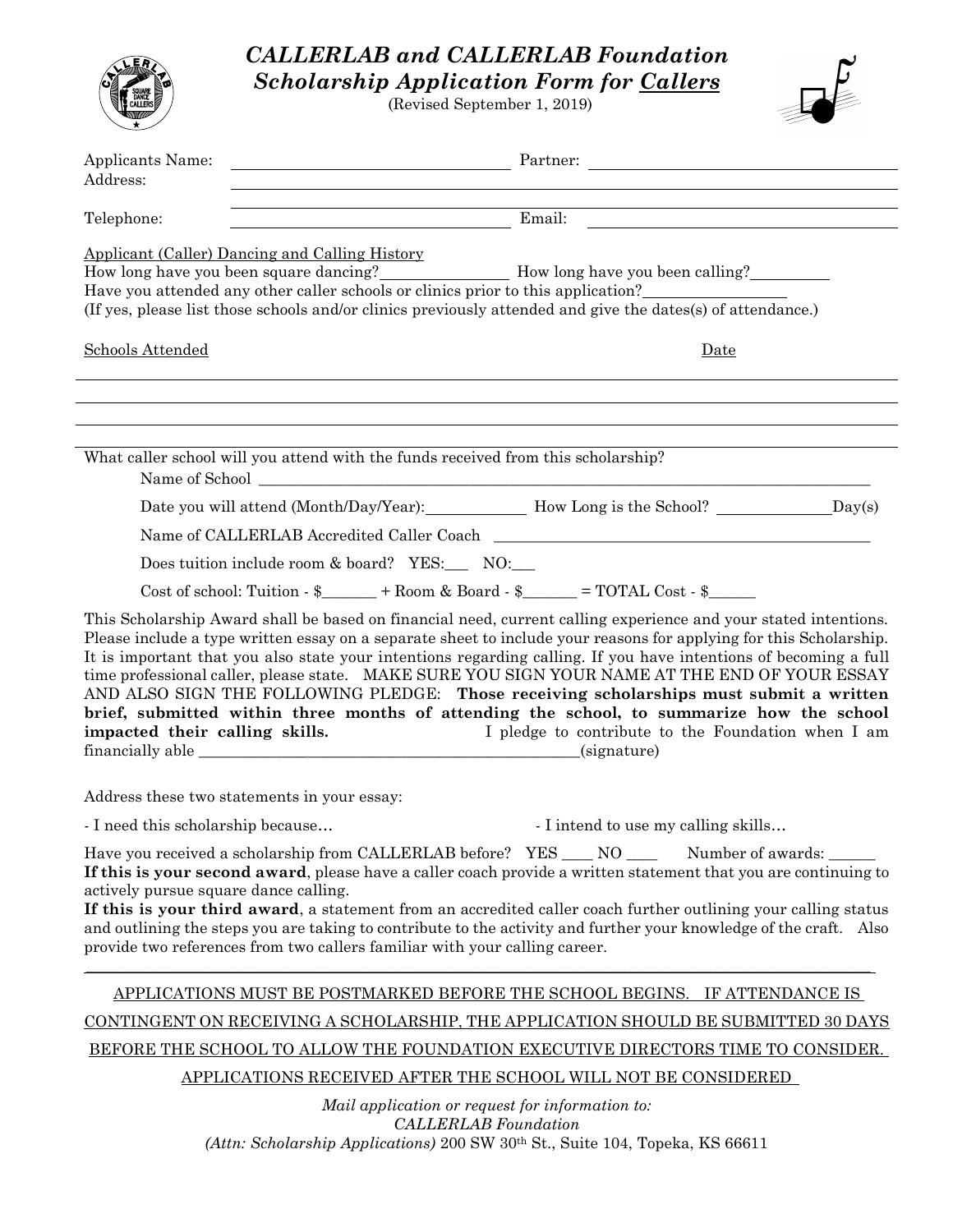|                                                     |                                                                                   | <b>CALLERLAB and CALLERLAB Foundation</b><br><b>Scholarship Application Form for Callers</b><br>(Revised September 1, 2019)                                                                                                                                                                                                                                                                                                                                                                                                                                                                                                                                                                                            |
|-----------------------------------------------------|-----------------------------------------------------------------------------------|------------------------------------------------------------------------------------------------------------------------------------------------------------------------------------------------------------------------------------------------------------------------------------------------------------------------------------------------------------------------------------------------------------------------------------------------------------------------------------------------------------------------------------------------------------------------------------------------------------------------------------------------------------------------------------------------------------------------|
| Applicants Name:<br>Address:                        |                                                                                   | Partner:                                                                                                                                                                                                                                                                                                                                                                                                                                                                                                                                                                                                                                                                                                               |
| Telephone:                                          |                                                                                   |                                                                                                                                                                                                                                                                                                                                                                                                                                                                                                                                                                                                                                                                                                                        |
|                                                     | Applicant (Caller) Dancing and Calling History                                    | Have you attended any other caller schools or clinics prior to this application?<br>(If yes, please list those schools and/or clinics previously attended and give the dates(s) of attendance.)                                                                                                                                                                                                                                                                                                                                                                                                                                                                                                                        |
| Schools Attended                                    |                                                                                   | Date                                                                                                                                                                                                                                                                                                                                                                                                                                                                                                                                                                                                                                                                                                                   |
|                                                     |                                                                                   |                                                                                                                                                                                                                                                                                                                                                                                                                                                                                                                                                                                                                                                                                                                        |
|                                                     | What caller school will you attend with the funds received from this scholarship? |                                                                                                                                                                                                                                                                                                                                                                                                                                                                                                                                                                                                                                                                                                                        |
|                                                     |                                                                                   | Date you will attend (Month/Day/Year): How Long is the School? _________________Day(s)                                                                                                                                                                                                                                                                                                                                                                                                                                                                                                                                                                                                                                 |
|                                                     |                                                                                   | Name of CALLERLAB Accredited Caller Coach                                                                                                                                                                                                                                                                                                                                                                                                                                                                                                                                                                                                                                                                              |
|                                                     | Does tuition include room & board? YES: NO:                                       |                                                                                                                                                                                                                                                                                                                                                                                                                                                                                                                                                                                                                                                                                                                        |
|                                                     |                                                                                   | Cost of school: Tuition $-\$ + Room & Board $-\$ = TOTAL Cost $-\$                                                                                                                                                                                                                                                                                                                                                                                                                                                                                                                                                                                                                                                     |
| impacted their calling skills.<br>financially able_ |                                                                                   | This Scholarship Award shall be based on financial need, current calling experience and your stated intentions.<br>Please include a type written essay on a separate sheet to include your reasons for applying for this Scholarship.<br>It is important that you also state your intentions regarding calling. If you have intentions of becoming a full<br>time professional caller, please state. MAKE SURE YOU SIGN YOUR NAME AT THE END OF YOUR ESSAY<br>AND ALSO SIGN THE FOLLOWING PLEDGE: Those receiving scholarships must submit a written<br>brief, submitted within three months of attending the school, to summarize how the school<br>I pledge to contribute to the Foundation when I am<br>(signature) |
|                                                     | Address these two statements in your essay:                                       |                                                                                                                                                                                                                                                                                                                                                                                                                                                                                                                                                                                                                                                                                                                        |
| - I need this scholarship because                   |                                                                                   | - I intend to use my calling skills                                                                                                                                                                                                                                                                                                                                                                                                                                                                                                                                                                                                                                                                                    |
| actively pursue square dance calling.               | provide two references from two callers familiar with your calling career.        | Have you received a scholarship from CALLERLAB before? YES ___ NO _______ Number of awards: ______<br>If this is your second award, please have a caller coach provide a written statement that you are continuing to<br>If this is your third award, a statement from an accredited caller coach further outlining your calling status<br>and outlining the steps you are taking to contribute to the activity and further your knowledge of the craft. Also                                                                                                                                                                                                                                                          |
|                                                     |                                                                                   | APPLICATIONS MUST BE POSTMARKED BEFORE THE SCHOOL BEGINS. IF ATTENDANCE IS                                                                                                                                                                                                                                                                                                                                                                                                                                                                                                                                                                                                                                             |
|                                                     |                                                                                   | CONTINGENT ON RECEIVING A SCHOLARSHIP, THE APPLICATION SHOULD BE SUBMITTED 30 DAYS                                                                                                                                                                                                                                                                                                                                                                                                                                                                                                                                                                                                                                     |
|                                                     |                                                                                   | BEFORE THE SCHOOL TO ALLOW THE FOUNDATION EXECUTIVE DIRECTORS TIME TO CONSIDER.                                                                                                                                                                                                                                                                                                                                                                                                                                                                                                                                                                                                                                        |
|                                                     |                                                                                   | APPLICATIONS RECEIVED AFTER THE SCHOOL WILL NOT BE CONSIDERED                                                                                                                                                                                                                                                                                                                                                                                                                                                                                                                                                                                                                                                          |
|                                                     |                                                                                   | Mail application or request for information to:<br><b>CALLERLAB</b> Foundation<br>(Attn: Scholarship Applications) 200 SW 30th St., Suite 104, Topeka, KS 66611                                                                                                                                                                                                                                                                                                                                                                                                                                                                                                                                                        |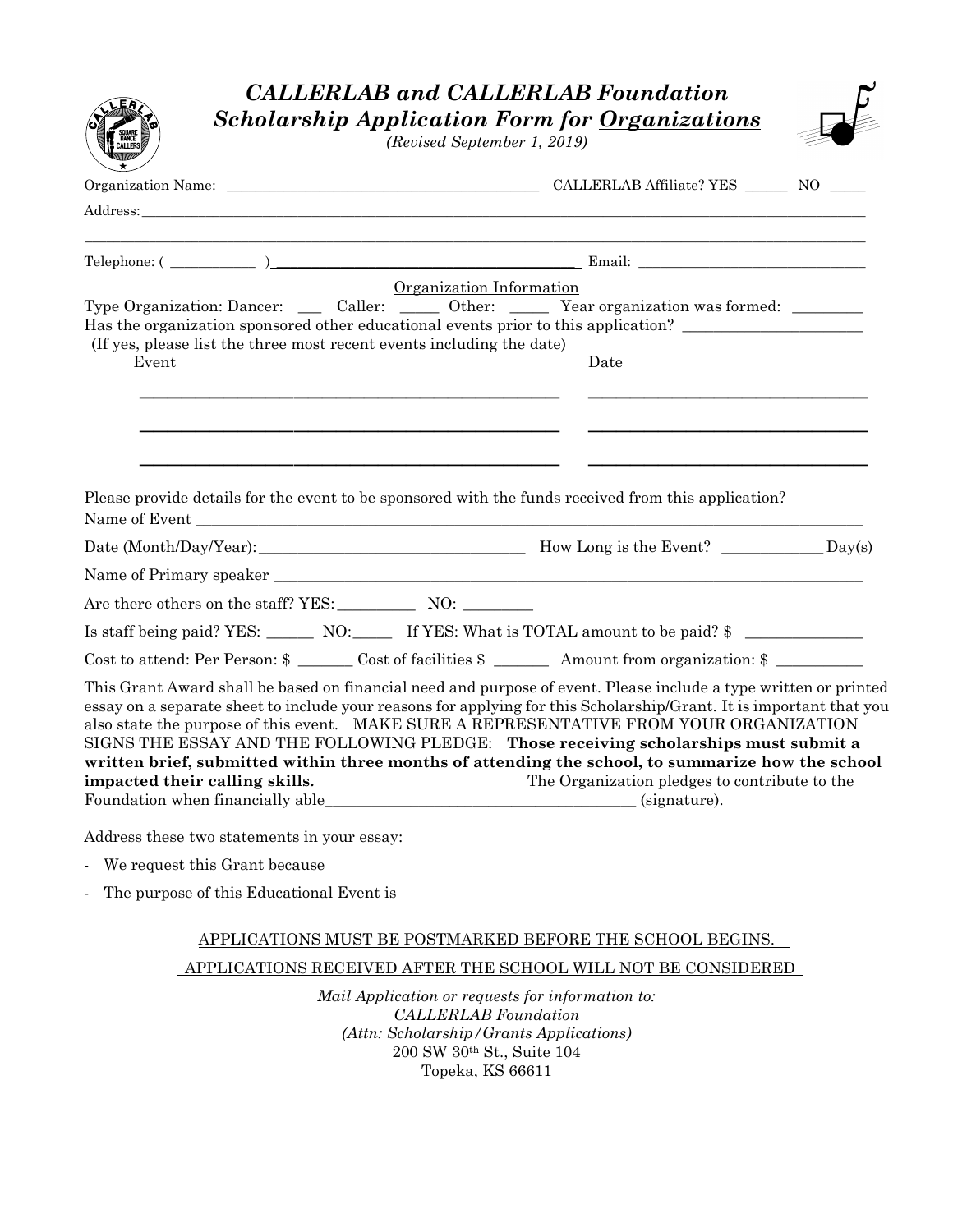| <b>CALLERLAB</b> and <b>CALLERLAB</b> Foundation                                                                                                                                                                                                                                                                                                                                                                                                                                                                                                                  |                                               |
|-------------------------------------------------------------------------------------------------------------------------------------------------------------------------------------------------------------------------------------------------------------------------------------------------------------------------------------------------------------------------------------------------------------------------------------------------------------------------------------------------------------------------------------------------------------------|-----------------------------------------------|
| <b>Scholarship Application Form for Organizations</b><br>(Revised September 1, 2019)                                                                                                                                                                                                                                                                                                                                                                                                                                                                              |                                               |
|                                                                                                                                                                                                                                                                                                                                                                                                                                                                                                                                                                   |                                               |
| Address:                                                                                                                                                                                                                                                                                                                                                                                                                                                                                                                                                          |                                               |
|                                                                                                                                                                                                                                                                                                                                                                                                                                                                                                                                                                   |                                               |
| Organization Information                                                                                                                                                                                                                                                                                                                                                                                                                                                                                                                                          |                                               |
| Type Organization: Dancer: Caller: Other: Year organization was formed:                                                                                                                                                                                                                                                                                                                                                                                                                                                                                           |                                               |
| Has the organization sponsored other educational events prior to this application?<br>(If yes, please list the three most recent events including the date)                                                                                                                                                                                                                                                                                                                                                                                                       |                                               |
| Event                                                                                                                                                                                                                                                                                                                                                                                                                                                                                                                                                             | Date                                          |
|                                                                                                                                                                                                                                                                                                                                                                                                                                                                                                                                                                   |                                               |
| Please provide details for the event to be sponsored with the funds received from this application?                                                                                                                                                                                                                                                                                                                                                                                                                                                               |                                               |
|                                                                                                                                                                                                                                                                                                                                                                                                                                                                                                                                                                   |                                               |
|                                                                                                                                                                                                                                                                                                                                                                                                                                                                                                                                                                   |                                               |
| Are there others on the staff? YES: NO: NO: No Show Media and Media and Media and Media and Media and Media and Media and Media and Media and Media and Media and Media and Media and Media and Media and Media and Media and                                                                                                                                                                                                                                                                                                                                     |                                               |
| Is staff being paid? YES: ________ NO: _______ If YES: What is TOTAL amount to be paid? \$                                                                                                                                                                                                                                                                                                                                                                                                                                                                        |                                               |
| Cost to attend: Per Person: $\frac{1}{2}$ Cost of facilities $\frac{1}{2}$ Amount from organization: $\frac{1}{2}$                                                                                                                                                                                                                                                                                                                                                                                                                                                |                                               |
| This Grant Award shall be based on financial need and purpose of event. Please include a type written or printed<br>essay on a separate sheet to include your reasons for applying for this Scholarship/Grant. It is important that you<br>also state the purpose of this event. MAKE SURE A REPRESENTATIVE FROM YOUR ORGANIZATION<br>SIGNS THE ESSAY AND THE FOLLOWING PLEDGE: Those receiving scholarships must submit a<br>written brief, submitted within three months of attending the school, to summarize how the school<br>impacted their calling skills. | The Organization pledges to contribute to the |
| Address these two statements in your essay:                                                                                                                                                                                                                                                                                                                                                                                                                                                                                                                       |                                               |

- We request this Grant because
- The purpose of this Educational Event is

### APPLICATIONS MUST BE POSTMARKED BEFORE THE SCHOOL BEGINS. APPLICATIONS RECEIVED AFTER THE SCHOOL WILL NOT BE CONSIDERED

*Mail Application or requests for information to: CALLERLAB Foundation (Attn: Scholarship/Grants Applications)* 200 SW 30th St., Suite 104 Topeka, KS 66611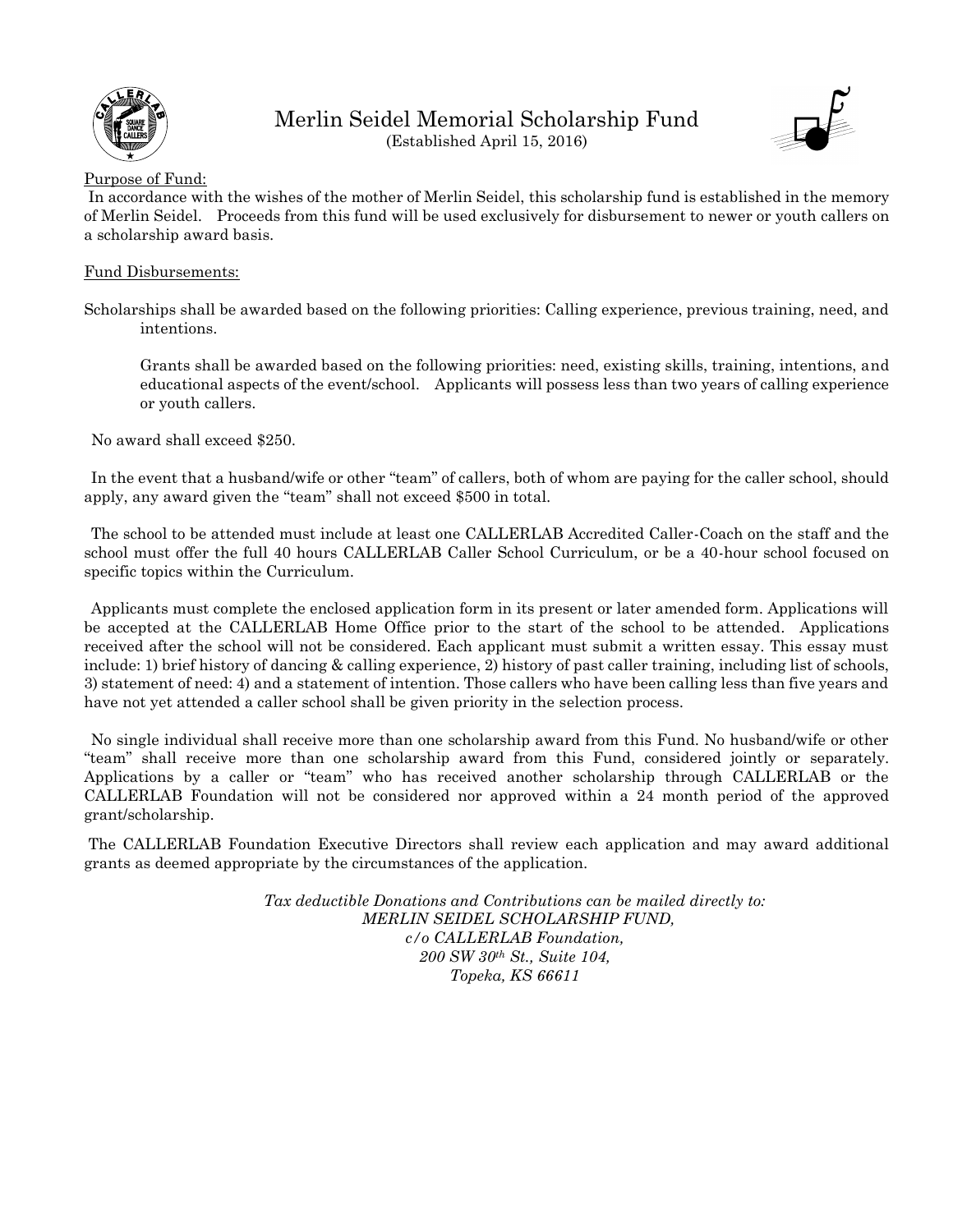

Merlin Seidel Memorial Scholarship Fund (Established April 15, 2016)



#### Purpose of Fund:

In accordance with the wishes of the mother of Merlin Seidel, this scholarship fund is established in the memory of Merlin Seidel. Proceeds from this fund will be used exclusively for disbursement to newer or youth callers on a scholarship award basis.

#### Fund Disbursements:

Scholarships shall be awarded based on the following priorities: Calling experience, previous training, need, and intentions.

Grants shall be awarded based on the following priorities: need, existing skills, training, intentions, and educational aspects of the event/school. Applicants will possess less than two years of calling experience or youth callers.

No award shall exceed \$250.

In the event that a husband/wife or other "team" of callers, both of whom are paying for the caller school, should apply, any award given the "team" shall not exceed \$500 in total.

The school to be attended must include at least one CALLERLAB Accredited Caller-Coach on the staff and the school must offer the full 40 hours CALLERLAB Caller School Curriculum, or be a 40-hour school focused on specific topics within the Curriculum.

Applicants must complete the enclosed application form in its present or later amended form. Applications will be accepted at the CALLERLAB Home Office prior to the start of the school to be attended. Applications received after the school will not be considered. Each applicant must submit a written essay. This essay must include: 1) brief history of dancing & calling experience, 2) history of past caller training, including list of schools, 3) statement of need: 4) and a statement of intention. Those callers who have been calling less than five years and have not yet attended a caller school shall be given priority in the selection process.

No single individual shall receive more than one scholarship award from this Fund. No husband/wife or other "team" shall receive more than one scholarship award from this Fund, considered jointly or separately. Applications by a caller or "team" who has received another scholarship through CALLERLAB or the CALLERLAB Foundation will not be considered nor approved within a 24 month period of the approved grant/scholarship.

The CALLERLAB Foundation Executive Directors shall review each application and may award additional grants as deemed appropriate by the circumstances of the application.

> *Tax deductible Donations and Contributions can be mailed directly to: MERLIN SEIDEL SCHOLARSHIP FUND, c/o CALLERLAB Foundation, 200 SW 30th St., Suite 104, Topeka, KS 66611*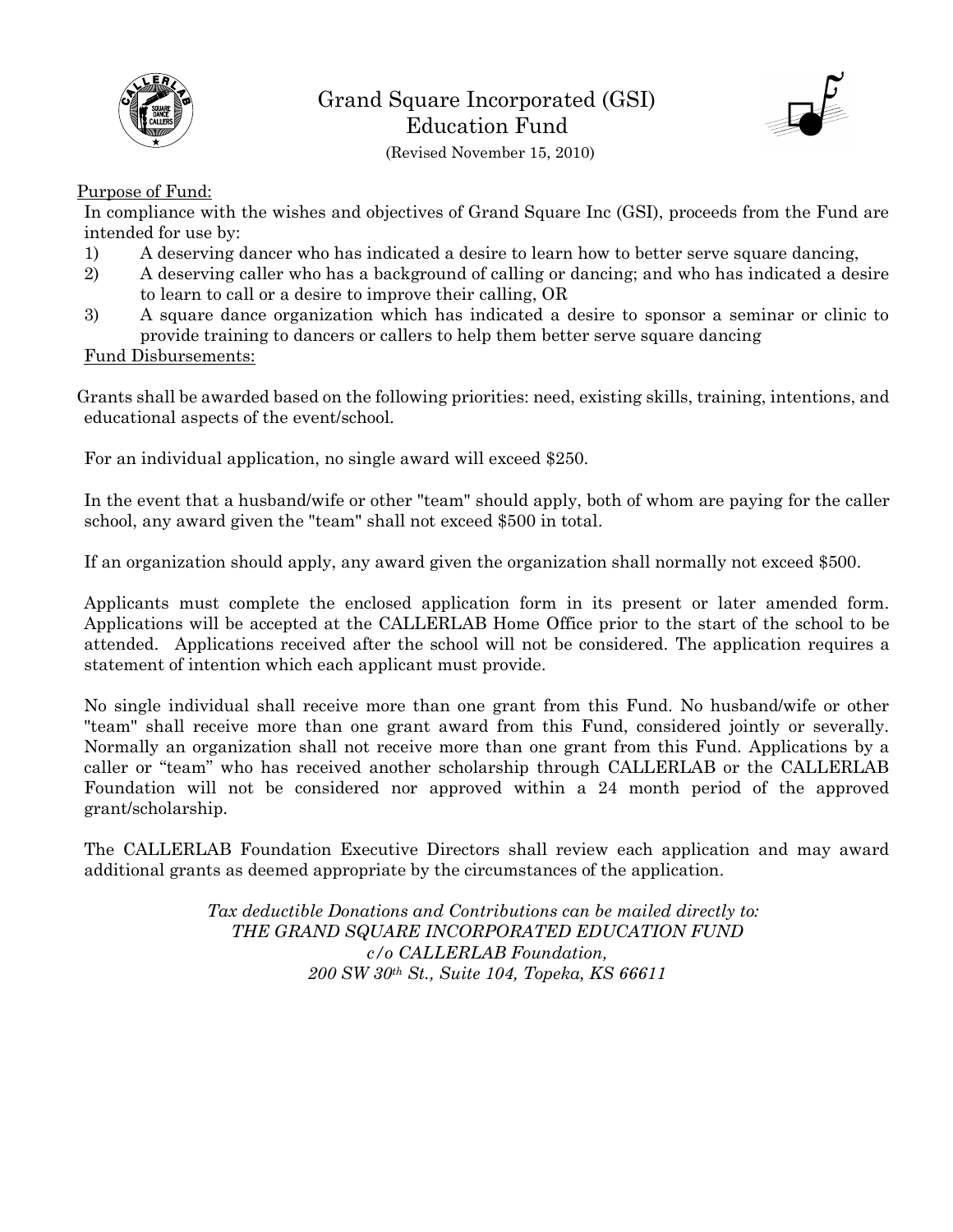



(Revised November 15, 2010)

#### Purpose of Fund:

In compliance with the wishes and objectives of Grand Square Inc (GSI), proceeds from the Fund are intended for use by:

- 1) A deserving dancer who has indicated a desire to learn how to better serve square dancing,
- 2) A deserving caller who has a background of calling or dancing; and who has indicated a desire to learn to call or a desire to improve their calling, OR
- 3) A square dance organization which has indicated a desire to sponsor a seminar or clinic to provide training to dancers or callers to help them better serve square dancing

#### Fund Disbursements:

Grants shall be awarded based on the following priorities: need, existing skills, training, intentions, and educational aspects of the event/school.

For an individual application, no single award will exceed \$250.

In the event that a husband/wife or other "team" should apply, both of whom are paying for the caller school, any award given the "team" shall not exceed \$500 in total.

If an organization should apply, any award given the organization shall normally not exceed \$500.

Applicants must complete the enclosed application form in its present or later amended form. Applications will be accepted at the CALLERLAB Home Office prior to the start of the school to be attended. Applications received after the school will not be considered. The application requires a statement of intention which each applicant must provide.

No single individual shall receive more than one grant from this Fund. No husband/wife or other "team" shall receive more than one grant award from this Fund, considered jointly or severally. Normally an organization shall not receive more than one grant from this Fund. Applications by a caller or "team" who has received another scholarship through CALLERLAB or the CALLERLAB Foundation will not be considered nor approved within a 24 month period of the approved grant/scholarship.

The CALLERLAB Foundation Executive Directors shall review each application and may award additional grants as deemed appropriate by the circumstances of the application.

> *Tax deductible Donations and Contributions can be mailed directly to: THE GRAND SQUARE INCORPORATED EDUCATION FUND c/o CALLERLAB Foundation, 200 SW 30th St., Suite 104, Topeka, KS 66611*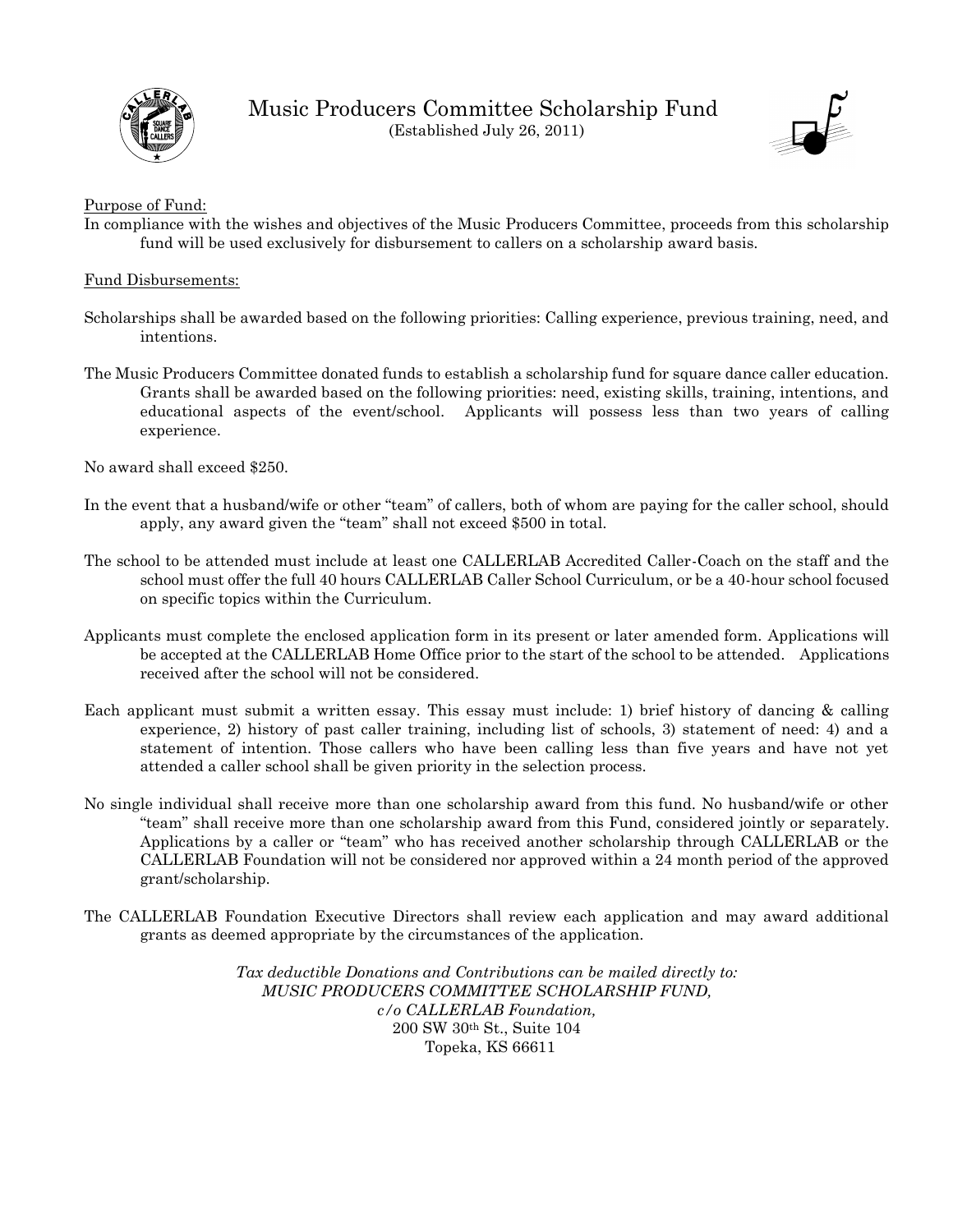

Music Producers Committee Scholarship Fund (Established July 26, 2011)



#### Purpose of Fund:

In compliance with the wishes and objectives of the Music Producers Committee, proceeds from this scholarship fund will be used exclusively for disbursement to callers on a scholarship award basis.

#### Fund Disbursements:

- Scholarships shall be awarded based on the following priorities: Calling experience, previous training, need, and intentions.
- The Music Producers Committee donated funds to establish a scholarship fund for square dance caller education. Grants shall be awarded based on the following priorities: need, existing skills, training, intentions, and educational aspects of the event/school. Applicants will possess less than two years of calling experience.

No award shall exceed \$250.

- In the event that a husband/wife or other "team" of callers, both of whom are paying for the caller school, should apply, any award given the "team" shall not exceed \$500 in total.
- The school to be attended must include at least one CALLERLAB Accredited Caller-Coach on the staff and the school must offer the full 40 hours CALLERLAB Caller School Curriculum, or be a 40-hour school focused on specific topics within the Curriculum.
- Applicants must complete the enclosed application form in its present or later amended form. Applications will be accepted at the CALLERLAB Home Office prior to the start of the school to be attended. Applications received after the school will not be considered.
- Each applicant must submit a written essay. This essay must include: 1) brief history of dancing & calling experience, 2) history of past caller training, including list of schools, 3) statement of need: 4) and a statement of intention. Those callers who have been calling less than five years and have not yet attended a caller school shall be given priority in the selection process.
- No single individual shall receive more than one scholarship award from this fund. No husband/wife or other "team" shall receive more than one scholarship award from this Fund, considered jointly or separately. Applications by a caller or "team" who has received another scholarship through CALLERLAB or the CALLERLAB Foundation will not be considered nor approved within a 24 month period of the approved grant/scholarship.
- The CALLERLAB Foundation Executive Directors shall review each application and may award additional grants as deemed appropriate by the circumstances of the application.

*Tax deductible Donations and Contributions can be mailed directly to: MUSIC PRODUCERS COMMITTEE SCHOLARSHIP FUND, c/o CALLERLAB Foundation,*  200 SW 30th St., Suite 104 Topeka, KS 66611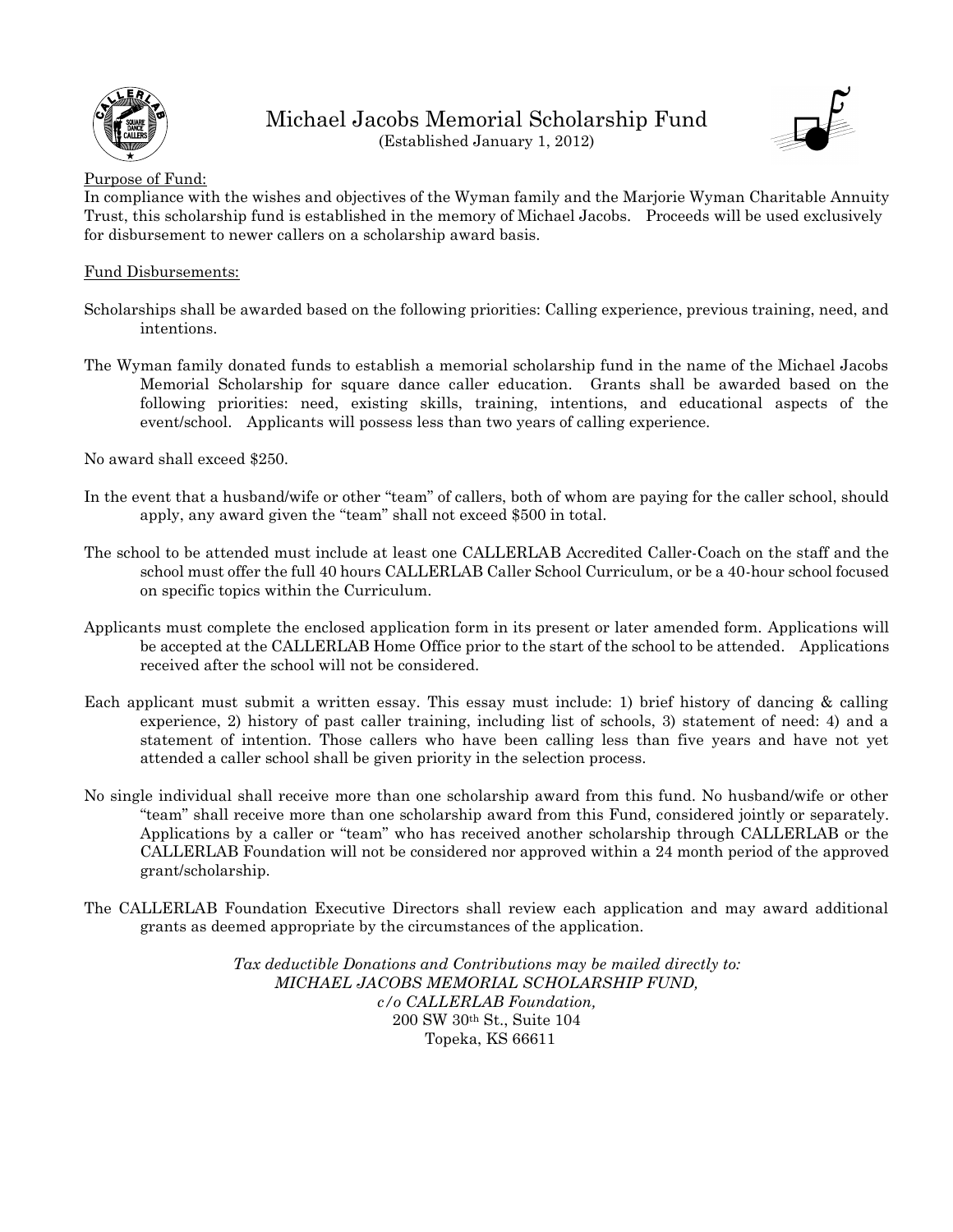

Michael Jacobs Memorial Scholarship Fund (Established January 1, 2012)



#### Purpose of Fund:

In compliance with the wishes and objectives of the Wyman family and the Marjorie Wyman Charitable Annuity Trust, this scholarship fund is established in the memory of Michael Jacobs. Proceeds will be used exclusively for disbursement to newer callers on a scholarship award basis.

#### Fund Disbursements:

- Scholarships shall be awarded based on the following priorities: Calling experience, previous training, need, and intentions.
- The Wyman family donated funds to establish a memorial scholarship fund in the name of the Michael Jacobs Memorial Scholarship for square dance caller education. Grants shall be awarded based on the following priorities: need, existing skills, training, intentions, and educational aspects of the event/school. Applicants will possess less than two years of calling experience.

No award shall exceed \$250.

- In the event that a husband/wife or other "team" of callers, both of whom are paying for the caller school, should apply, any award given the "team" shall not exceed \$500 in total.
- The school to be attended must include at least one CALLERLAB Accredited Caller-Coach on the staff and the school must offer the full 40 hours CALLERLAB Caller School Curriculum, or be a 40-hour school focused on specific topics within the Curriculum.
- Applicants must complete the enclosed application form in its present or later amended form. Applications will be accepted at the CALLERLAB Home Office prior to the start of the school to be attended. Applications received after the school will not be considered.
- Each applicant must submit a written essay. This essay must include: 1) brief history of dancing & calling experience, 2) history of past caller training, including list of schools, 3) statement of need: 4) and a statement of intention. Those callers who have been calling less than five years and have not yet attended a caller school shall be given priority in the selection process.
- No single individual shall receive more than one scholarship award from this fund. No husband/wife or other "team" shall receive more than one scholarship award from this Fund, considered jointly or separately. Applications by a caller or "team" who has received another scholarship through CALLERLAB or the CALLERLAB Foundation will not be considered nor approved within a 24 month period of the approved grant/scholarship.
- The CALLERLAB Foundation Executive Directors shall review each application and may award additional grants as deemed appropriate by the circumstances of the application.

*Tax deductible Donations and Contributions may be mailed directly to: MICHAEL JACOBS MEMORIAL SCHOLARSHIP FUND, c/o CALLERLAB Foundation,*  200 SW 30th St., Suite 104 Topeka, KS 66611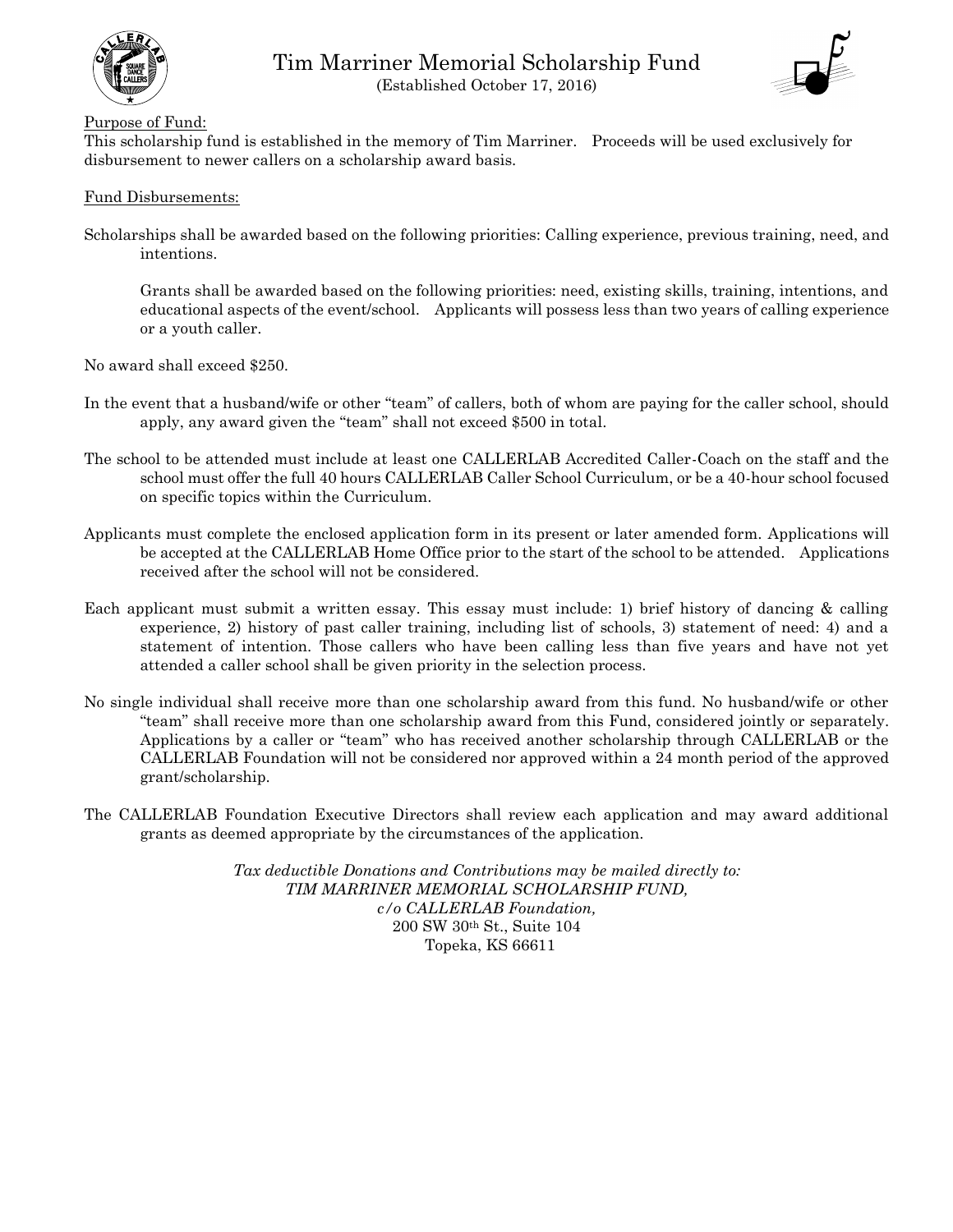



#### Purpose of Fund:

This scholarship fund is established in the memory of Tim Marriner. Proceeds will be used exclusively for disbursement to newer callers on a scholarship award basis.

#### Fund Disbursements:

Scholarships shall be awarded based on the following priorities: Calling experience, previous training, need, and intentions.

Grants shall be awarded based on the following priorities: need, existing skills, training, intentions, and educational aspects of the event/school. Applicants will possess less than two years of calling experience or a youth caller.

No award shall exceed \$250.

- In the event that a husband/wife or other "team" of callers, both of whom are paying for the caller school, should apply, any award given the "team" shall not exceed \$500 in total.
- The school to be attended must include at least one CALLERLAB Accredited Caller-Coach on the staff and the school must offer the full 40 hours CALLERLAB Caller School Curriculum, or be a 40-hour school focused on specific topics within the Curriculum.
- Applicants must complete the enclosed application form in its present or later amended form. Applications will be accepted at the CALLERLAB Home Office prior to the start of the school to be attended. Applications received after the school will not be considered.
- Each applicant must submit a written essay. This essay must include: 1) brief history of dancing & calling experience, 2) history of past caller training, including list of schools, 3) statement of need: 4) and a statement of intention. Those callers who have been calling less than five years and have not yet attended a caller school shall be given priority in the selection process.
- No single individual shall receive more than one scholarship award from this fund. No husband/wife or other "team" shall receive more than one scholarship award from this Fund, considered jointly or separately. Applications by a caller or "team" who has received another scholarship through CALLERLAB or the CALLERLAB Foundation will not be considered nor approved within a 24 month period of the approved grant/scholarship.
- The CALLERLAB Foundation Executive Directors shall review each application and may award additional grants as deemed appropriate by the circumstances of the application.

*Tax deductible Donations and Contributions may be mailed directly to: TIM MARRINER MEMORIAL SCHOLARSHIP FUND, c/o CALLERLAB Foundation,*  200 SW 30th St., Suite 104 Topeka, KS 66611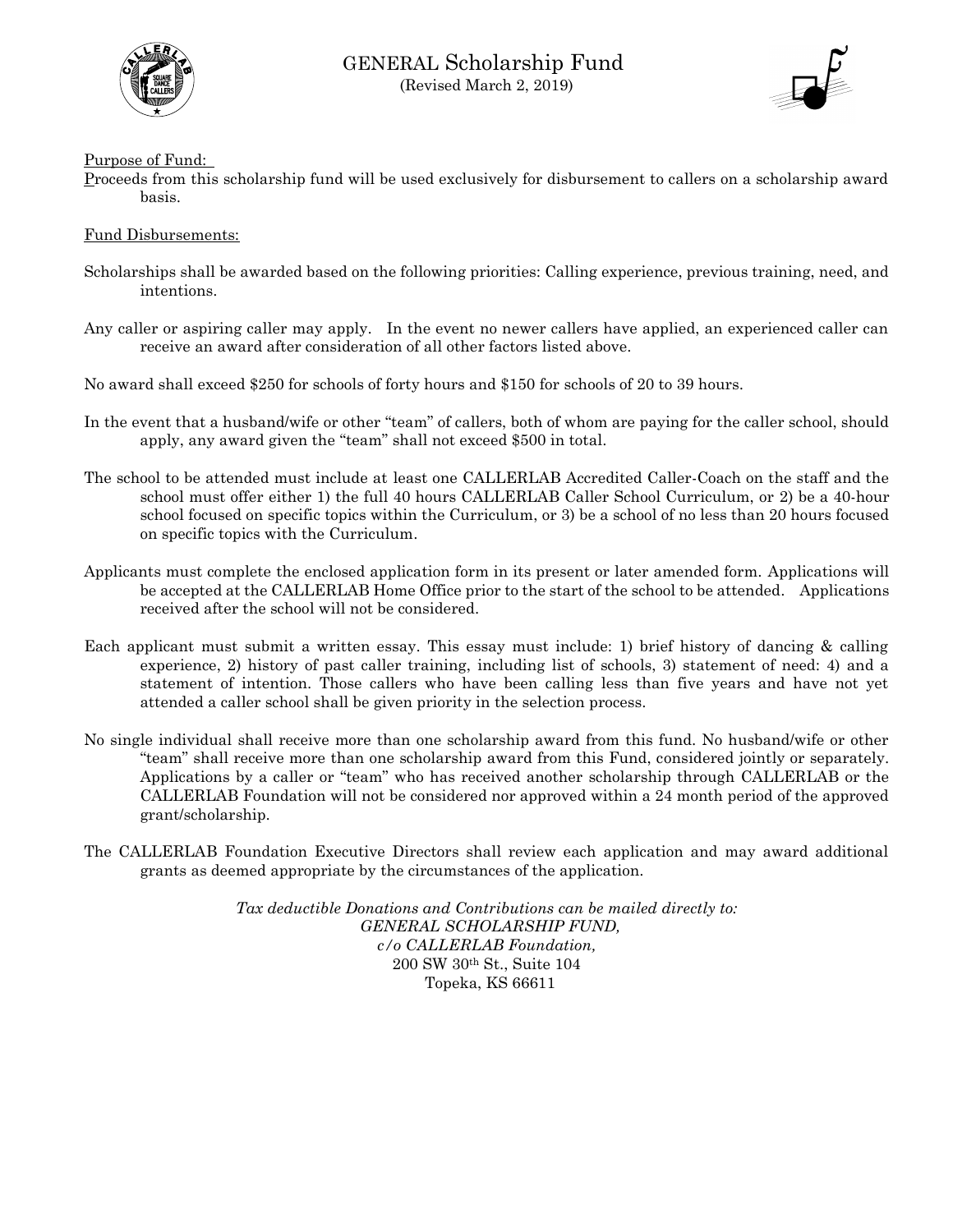



Purpose of Fund:

Proceeds from this scholarship fund will be used exclusively for disbursement to callers on a scholarship award basis.

Fund Disbursements:

- Scholarships shall be awarded based on the following priorities: Calling experience, previous training, need, and intentions.
- Any caller or aspiring caller may apply. In the event no newer callers have applied, an experienced caller can receive an award after consideration of all other factors listed above.

No award shall exceed \$250 for schools of forty hours and \$150 for schools of 20 to 39 hours.

- In the event that a husband/wife or other "team" of callers, both of whom are paying for the caller school, should apply, any award given the "team" shall not exceed \$500 in total.
- The school to be attended must include at least one CALLERLAB Accredited Caller-Coach on the staff and the school must offer either 1) the full 40 hours CALLERLAB Caller School Curriculum, or 2) be a 40-hour school focused on specific topics within the Curriculum, or 3) be a school of no less than 20 hours focused on specific topics with the Curriculum.
- Applicants must complete the enclosed application form in its present or later amended form. Applications will be accepted at the CALLERLAB Home Office prior to the start of the school to be attended. Applications received after the school will not be considered.
- Each applicant must submit a written essay. This essay must include: 1) brief history of dancing & calling experience, 2) history of past caller training, including list of schools, 3) statement of need: 4) and a statement of intention. Those callers who have been calling less than five years and have not yet attended a caller school shall be given priority in the selection process.
- No single individual shall receive more than one scholarship award from this fund. No husband/wife or other "team" shall receive more than one scholarship award from this Fund, considered jointly or separately. Applications by a caller or "team" who has received another scholarship through CALLERLAB or the CALLERLAB Foundation will not be considered nor approved within a 24 month period of the approved grant/scholarship.
- The CALLERLAB Foundation Executive Directors shall review each application and may award additional grants as deemed appropriate by the circumstances of the application.

*Tax deductible Donations and Contributions can be mailed directly to: GENERAL SCHOLARSHIP FUND, c/o CALLERLAB Foundation,*  200 SW 30th St., Suite 104 Topeka, KS 66611